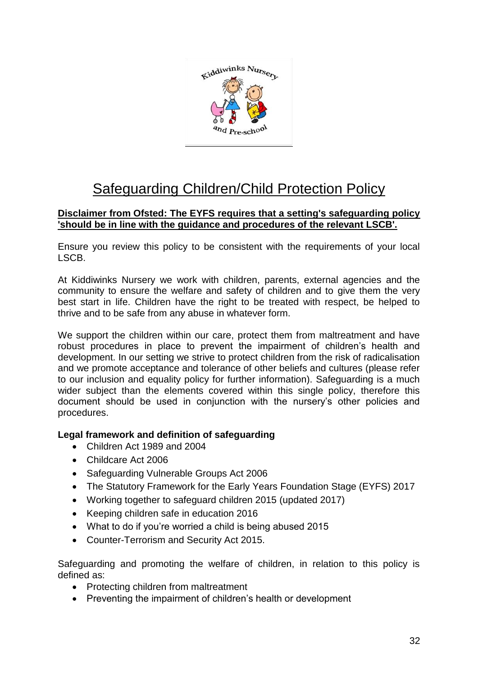

# Safeguarding Children/Child Protection Policy

## **Disclaimer from Ofsted: The EYFS requires that a setting's safeguarding policy 'should be in line with the guidance and procedures of the relevant LSCB'.**

Ensure you review this policy to be consistent with the requirements of your local LSCB.

At Kiddiwinks Nursery we work with children, parents, external agencies and the community to ensure the welfare and safety of children and to give them the very best start in life. Children have the right to be treated with respect, be helped to thrive and to be safe from any abuse in whatever form.

We support the children within our care, protect them from maltreatment and have robust procedures in place to prevent the impairment of children's health and development. In our setting we strive to protect children from the risk of radicalisation and we promote acceptance and tolerance of other beliefs and cultures (please refer to our inclusion and equality policy for further information). Safeguarding is a much wider subject than the elements covered within this single policy, therefore this document should be used in conjunction with the nursery's other policies and procedures.

#### **Legal framework and definition of safeguarding**

- Children Act 1989 and 2004
- Childcare Act 2006
- Safeguarding Vulnerable Groups Act 2006
- The Statutory Framework for the Early Years Foundation Stage (EYFS) 2017
- Working together to safeguard children 2015 (updated 2017)
- Keeping children safe in education 2016
- What to do if you're worried a child is being abused 2015
- Counter-Terrorism and Security Act 2015.

Safeguarding and promoting the welfare of children, in relation to this policy is defined as:

- Protecting children from maltreatment
- Preventing the impairment of children's health or development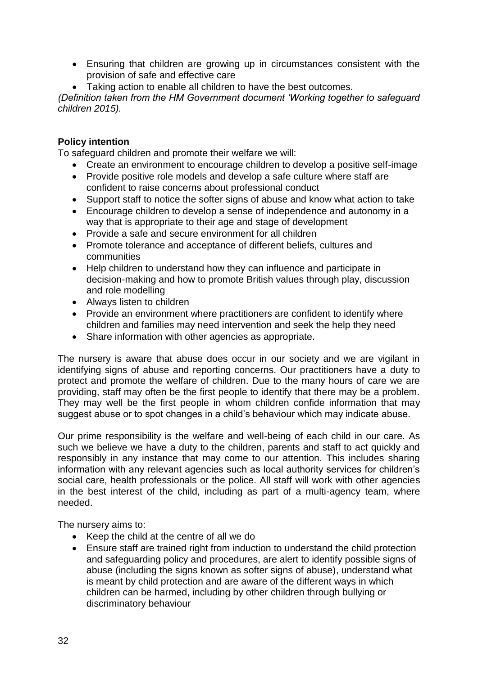- Ensuring that children are growing up in circumstances consistent with the provision of safe and effective care
- Taking action to enable all children to have the best outcomes.

*(Definition taken from the HM Government document 'Working together to safeguard children 2015).*

## **Policy intention**

To safeguard children and promote their welfare we will:

- Create an environment to encourage children to develop a positive self-image
- Provide positive role models and develop a safe culture where staff are confident to raise concerns about professional conduct
- Support staff to notice the softer signs of abuse and know what action to take
- Encourage children to develop a sense of independence and autonomy in a way that is appropriate to their age and stage of development
- Provide a safe and secure environment for all children
- Promote tolerance and acceptance of different beliefs, cultures and communities
- Help children to understand how they can influence and participate in decision-making and how to promote British values through play, discussion and role modelling
- Always listen to children
- Provide an environment where practitioners are confident to identify where children and families may need intervention and seek the help they need
- Share information with other agencies as appropriate.

The nursery is aware that abuse does occur in our society and we are vigilant in identifying signs of abuse and reporting concerns. Our practitioners have a duty to protect and promote the welfare of children. Due to the many hours of care we are providing, staff may often be the first people to identify that there may be a problem. They may well be the first people in whom children confide information that may suggest abuse or to spot changes in a child's behaviour which may indicate abuse.

Our prime responsibility is the welfare and well-being of each child in our care. As such we believe we have a duty to the children, parents and staff to act quickly and responsibly in any instance that may come to our attention. This includes sharing information with any relevant agencies such as local authority services for children's social care, health professionals or the police. All staff will work with other agencies in the best interest of the child, including as part of a multi-agency team, where needed.

The nursery aims to:

- Keep the child at the centre of all we do
- Ensure staff are trained right from induction to understand the child protection and safeguarding policy and procedures, are alert to identify possible signs of abuse (including the signs known as softer signs of abuse), understand what is meant by child protection and are aware of the different ways in which children can be harmed, including by other children through bullying or discriminatory behaviour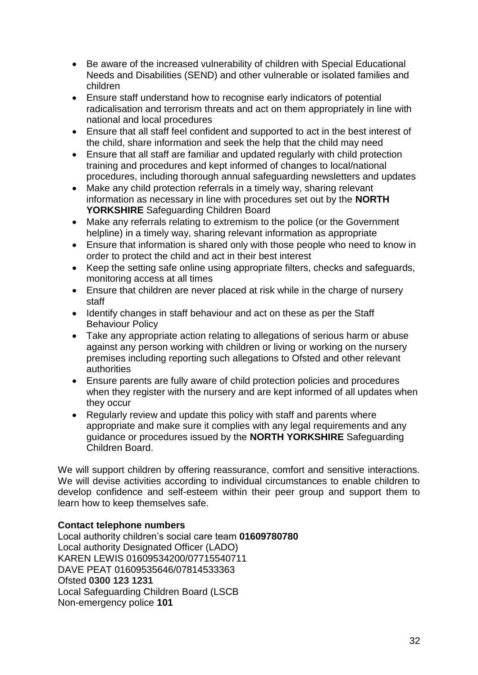- Be aware of the increased vulnerability of children with Special Educational Needs and Disabilities (SEND) and other vulnerable or isolated families and children
- Ensure staff understand how to recognise early indicators of potential radicalisation and terrorism threats and act on them appropriately in line with national and local procedures
- Ensure that all staff feel confident and supported to act in the best interest of the child, share information and seek the help that the child may need
- Ensure that all staff are familiar and updated regularly with child protection training and procedures and kept informed of changes to local/national procedures, including thorough annual safeguarding newsletters and updates
- Make any child protection referrals in a timely way, sharing relevant information as necessary in line with procedures set out by the **NORTH YORKSHIRE** Safeguarding Children Board
- Make any referrals relating to extremism to the police (or the Government helpline) in a timely way, sharing relevant information as appropriate
- Ensure that information is shared only with those people who need to know in order to protect the child and act in their best interest
- Keep the setting safe online using appropriate filters, checks and safeguards, monitoring access at all times
- Ensure that children are never placed at risk while in the charge of nursery staff
- Identify changes in staff behaviour and act on these as per the Staff Behaviour Policy
- Take any appropriate action relating to allegations of serious harm or abuse against any person working with children or living or working on the nursery premises including reporting such allegations to Ofsted and other relevant authorities
- Ensure parents are fully aware of child protection policies and procedures when they register with the nursery and are kept informed of all updates when they occur
- Regularly review and update this policy with staff and parents where appropriate and make sure it complies with any legal requirements and any guidance or procedures issued by the **NORTH YORKSHIRE** Safeguarding Children Board.

We will support children by offering reassurance, comfort and sensitive interactions. We will devise activities according to individual circumstances to enable children to develop confidence and self-esteem within their peer group and support them to learn how to keep themselves safe.

# **Contact telephone numbers**

Local authority children's social care team **01609780780** Local authority Designated Officer (LADO) KAREN LEWIS 01609534200/07715540711 DAVE PEAT 01609535646/07814533363 Ofsted **0300 123 1231** Local Safeguarding Children Board (LSCB Non-emergency police **101**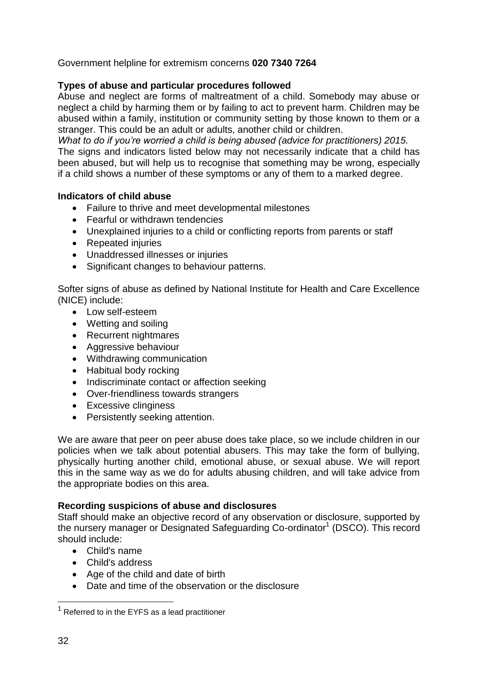# Government helpline for extremism concerns **020 7340 7264**

## **Types of abuse and particular procedures followed**

Abuse and neglect are forms of maltreatment of a child. Somebody may abuse or neglect a child by harming them or by failing to act to prevent harm. Children may be abused within a family, institution or community setting by those known to them or a stranger. This could be an adult or adults, another child or children.

*What to do if you're worried a child is being abused (advice for practitioners) 2015.* The signs and indicators listed below may not necessarily indicate that a child has been abused, but will help us to recognise that something may be wrong, especially if a child shows a number of these symptoms or any of them to a marked degree.

#### **Indicators of child abuse**

- Failure to thrive and meet developmental milestones
- Fearful or withdrawn tendencies
- Unexplained injuries to a child or conflicting reports from parents or staff
- Repeated injuries
- Unaddressed illnesses or injuries
- Significant changes to behaviour patterns.

Softer signs of abuse as defined by National Institute for Health and Care Excellence (NICE) include:

- Low self-esteem
- Wetting and soiling
- Recurrent nightmares
- Aggressive behaviour
- Withdrawing communication
- Habitual body rocking
- Indiscriminate contact or affection seeking
- Over-friendliness towards strangers
- Excessive clinginess
- Persistently seeking attention.

We are aware that peer on peer abuse does take place, so we include children in our policies when we talk about potential abusers. This may take the form of bullying, physically hurting another child, emotional abuse, or sexual abuse. We will report this in the same way as we do for adults abusing children, and will take advice from the appropriate bodies on this area.

#### **Recording suspicions of abuse and disclosures**

Staff should make an objective record of any observation or disclosure, supported by the nursery manager or Designated Safeguarding Co-ordinator<sup>1</sup> (DSCO). This record should include:

- Child's name
- Child's address
- Age of the child and date of birth
- Date and time of the observation or the disclosure

<u>.</u>

 $1$  Referred to in the EYFS as a lead practitioner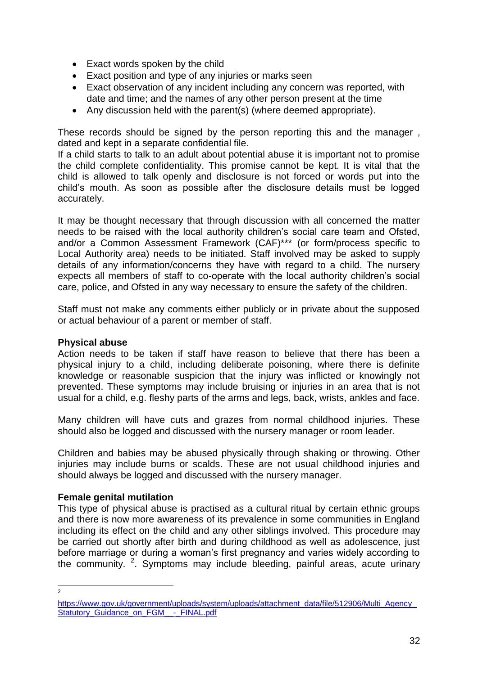- Exact words spoken by the child
- Exact position and type of any injuries or marks seen
- Exact observation of any incident including any concern was reported, with date and time; and the names of any other person present at the time
- Any discussion held with the parent(s) (where deemed appropriate).

These records should be signed by the person reporting this and the manager , dated and kept in a separate confidential file.

If a child starts to talk to an adult about potential abuse it is important not to promise the child complete confidentiality. This promise cannot be kept. It is vital that the child is allowed to talk openly and disclosure is not forced or words put into the child's mouth. As soon as possible after the disclosure details must be logged accurately.

It may be thought necessary that through discussion with all concerned the matter needs to be raised with the local authority children's social care team and Ofsted, and/or a Common Assessment Framework (CAF)\*\*\* (or form/process specific to Local Authority area) needs to be initiated. Staff involved may be asked to supply details of any information/concerns they have with regard to a child. The nursery expects all members of staff to co-operate with the local authority children's social care, police, and Ofsted in any way necessary to ensure the safety of the children.

Staff must not make any comments either publicly or in private about the supposed or actual behaviour of a parent or member of staff.

#### **Physical abuse**

Action needs to be taken if staff have reason to believe that there has been a physical injury to a child, including deliberate poisoning, where there is definite knowledge or reasonable suspicion that the injury was inflicted or knowingly not prevented. These symptoms may include bruising or injuries in an area that is not usual for a child, e.g. fleshy parts of the arms and legs, back, wrists, ankles and face.

Many children will have cuts and grazes from normal childhood injuries. These should also be logged and discussed with the nursery manager or room leader.

Children and babies may be abused physically through shaking or throwing. Other injuries may include burns or scalds. These are not usual childhood injuries and should always be logged and discussed with the nursery manager.

#### **Female genital mutilation**

This type of physical abuse is practised as a cultural ritual by certain ethnic groups and there is now more awareness of its prevalence in some communities in England including its effect on the child and any other siblings involved. This procedure may be carried out shortly after birth and during childhood as well as adolescence, just before marriage or during a woman's first pregnancy and varies widely according to the community. <sup>2</sup>. Symptoms may include bleeding, painful areas, acute urinary

 $\frac{1}{2}$ 

https://www.gov.uk/government/uploads/system/uploads/attachment\_data/file/512906/Multi\_Agency [Statutory\\_Guidance\\_on\\_FGM\\_\\_-\\_FINAL.pdf](https://www.gov.uk/government/uploads/system/uploads/attachment_data/file/512906/Multi_Agency_Statutory_Guidance_on_FGM__-_FINAL.pdf)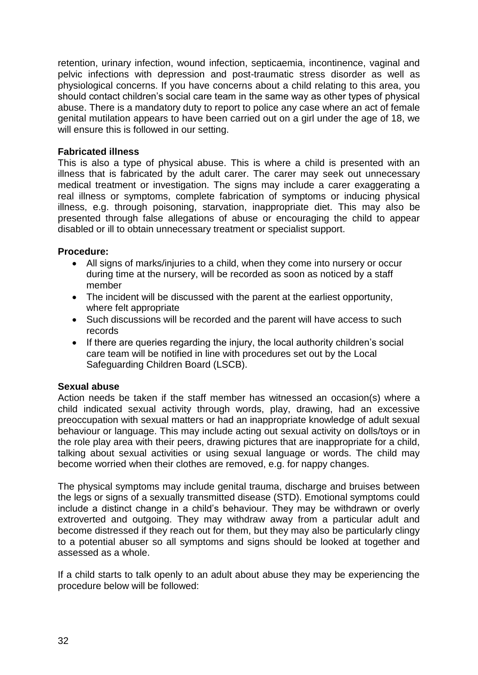retention, urinary infection, wound infection, septicaemia, incontinence, vaginal and pelvic infections with depression and post-traumatic stress disorder as well as physiological concerns. If you have concerns about a child relating to this area, you should contact children's social care team in the same way as other types of physical abuse. There is a mandatory duty to report to police any case where an act of female genital mutilation appears to have been carried out on a girl under the age of 18, we will ensure this is followed in our setting.

## **Fabricated illness**

This is also a type of physical abuse. This is where a child is presented with an illness that is fabricated by the adult carer. The carer may seek out unnecessary medical treatment or investigation. The signs may include a carer exaggerating a real illness or symptoms, complete fabrication of symptoms or inducing physical illness, e.g. through poisoning, starvation, inappropriate diet. This may also be presented through false allegations of abuse or encouraging the child to appear disabled or ill to obtain unnecessary treatment or specialist support.

## **Procedure:**

- All signs of marks/injuries to a child, when they come into nursery or occur during time at the nursery, will be recorded as soon as noticed by a staff member
- The incident will be discussed with the parent at the earliest opportunity, where felt appropriate
- Such discussions will be recorded and the parent will have access to such records
- If there are queries regarding the injury, the local authority children's social care team will be notified in line with procedures set out by the Local Safeguarding Children Board (LSCB).

#### **Sexual abuse**

Action needs be taken if the staff member has witnessed an occasion(s) where a child indicated sexual activity through words, play, drawing, had an excessive preoccupation with sexual matters or had an inappropriate knowledge of adult sexual behaviour or language. This may include acting out sexual activity on dolls/toys or in the role play area with their peers, drawing pictures that are inappropriate for a child, talking about sexual activities or using sexual language or words. The child may become worried when their clothes are removed, e.g. for nappy changes.

The physical symptoms may include genital trauma, discharge and bruises between the legs or signs of a sexually transmitted disease (STD). Emotional symptoms could include a distinct change in a child's behaviour. They may be withdrawn or overly extroverted and outgoing. They may withdraw away from a particular adult and become distressed if they reach out for them, but they may also be particularly clingy to a potential abuser so all symptoms and signs should be looked at together and assessed as a whole.

If a child starts to talk openly to an adult about abuse they may be experiencing the procedure below will be followed: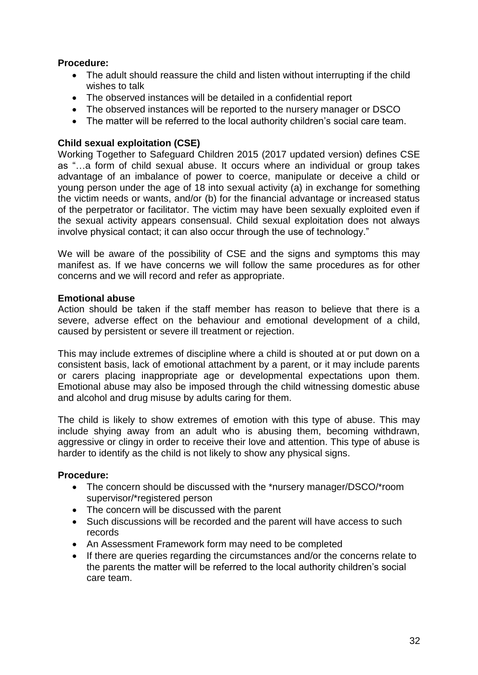## **Procedure:**

- The adult should reassure the child and listen without interrupting if the child wishes to talk
- The observed instances will be detailed in a confidential report
- The observed instances will be reported to the nursery manager or DSCO
- The matter will be referred to the local authority children's social care team.

#### **Child sexual exploitation (CSE)**

Working Together to Safeguard Children 2015 (2017 updated version) defines CSE as "…a form of child sexual abuse. It occurs where an individual or group takes advantage of an imbalance of power to coerce, manipulate or deceive a child or young person under the age of 18 into sexual activity (a) in exchange for something the victim needs or wants, and/or (b) for the financial advantage or increased status of the perpetrator or facilitator. The victim may have been sexually exploited even if the sexual activity appears consensual. Child sexual exploitation does not always involve physical contact; it can also occur through the use of technology."

We will be aware of the possibility of CSE and the signs and symptoms this may manifest as. If we have concerns we will follow the same procedures as for other concerns and we will record and refer as appropriate.

#### **Emotional abuse**

Action should be taken if the staff member has reason to believe that there is a severe, adverse effect on the behaviour and emotional development of a child, caused by persistent or severe ill treatment or rejection.

This may include extremes of discipline where a child is shouted at or put down on a consistent basis, lack of emotional attachment by a parent, or it may include parents or carers placing inappropriate age or developmental expectations upon them. Emotional abuse may also be imposed through the child witnessing domestic abuse and alcohol and drug misuse by adults caring for them.

The child is likely to show extremes of emotion with this type of abuse. This may include shying away from an adult who is abusing them, becoming withdrawn, aggressive or clingy in order to receive their love and attention. This type of abuse is harder to identify as the child is not likely to show any physical signs.

#### **Procedure:**

- The concern should be discussed with the \*nursery manager/DSCO/\*room supervisor/\*registered person
- The concern will be discussed with the parent
- Such discussions will be recorded and the parent will have access to such records
- An Assessment Framework form may need to be completed
- If there are queries regarding the circumstances and/or the concerns relate to the parents the matter will be referred to the local authority children's social care team.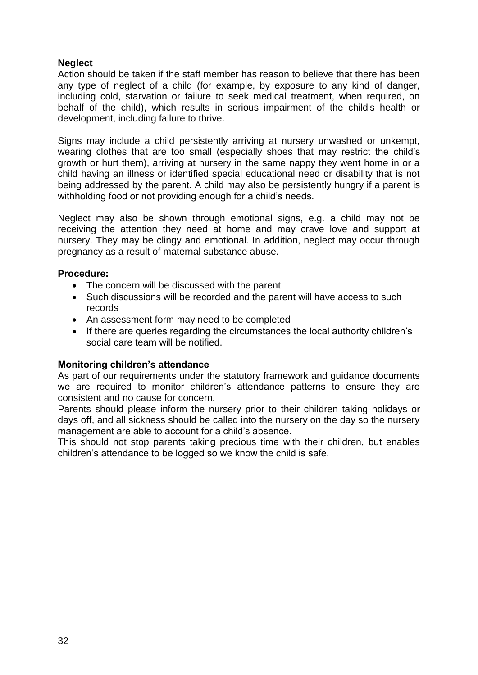## **Neglect**

Action should be taken if the staff member has reason to believe that there has been any type of neglect of a child (for example, by exposure to any kind of danger, including cold, starvation or failure to seek medical treatment, when required, on behalf of the child), which results in serious impairment of the child's health or development, including failure to thrive.

Signs may include a child persistently arriving at nursery unwashed or unkempt, wearing clothes that are too small (especially shoes that may restrict the child's growth or hurt them), arriving at nursery in the same nappy they went home in or a child having an illness or identified special educational need or disability that is not being addressed by the parent. A child may also be persistently hungry if a parent is withholding food or not providing enough for a child's needs.

Neglect may also be shown through emotional signs, e.g. a child may not be receiving the attention they need at home and may crave love and support at nursery. They may be clingy and emotional. In addition, neglect may occur through pregnancy as a result of maternal substance abuse.

#### **Procedure:**

- The concern will be discussed with the parent
- Such discussions will be recorded and the parent will have access to such records
- An assessment form may need to be completed
- If there are queries regarding the circumstances the local authority children's social care team will be notified.

#### **Monitoring children's attendance**

As part of our requirements under the statutory framework and guidance documents we are required to monitor children's attendance patterns to ensure they are consistent and no cause for concern.

Parents should please inform the nursery prior to their children taking holidays or days off, and all sickness should be called into the nursery on the day so the nursery management are able to account for a child's absence.

This should not stop parents taking precious time with their children, but enables children's attendance to be logged so we know the child is safe.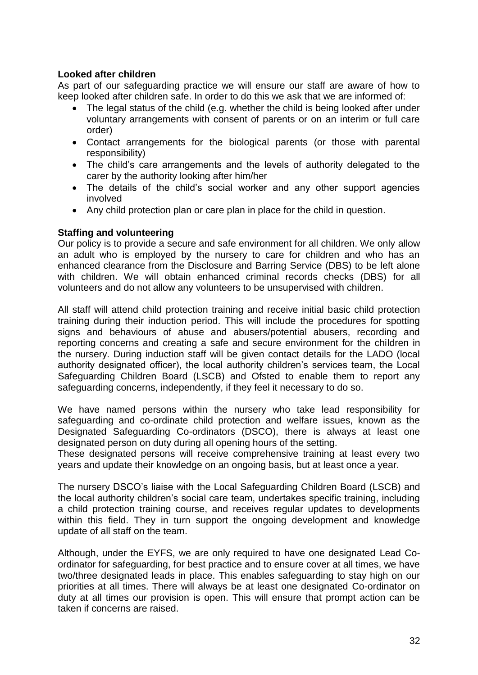## **Looked after children**

As part of our safeguarding practice we will ensure our staff are aware of how to keep looked after children safe. In order to do this we ask that we are informed of:

- The legal status of the child (e.g. whether the child is being looked after under voluntary arrangements with consent of parents or on an interim or full care order)
- Contact arrangements for the biological parents (or those with parental responsibility)
- The child's care arrangements and the levels of authority delegated to the carer by the authority looking after him/her
- The details of the child's social worker and any other support agencies involved
- Any child protection plan or care plan in place for the child in question.

## **Staffing and volunteering**

Our policy is to provide a secure and safe environment for all children. We only allow an adult who is employed by the nursery to care for children and who has an enhanced clearance from the Disclosure and Barring Service (DBS) to be left alone with children. We will obtain enhanced criminal records checks (DBS) for all volunteers and do not allow any volunteers to be unsupervised with children.

All staff will attend child protection training and receive initial basic child protection training during their induction period. This will include the procedures for spotting signs and behaviours of abuse and abusers/potential abusers, recording and reporting concerns and creating a safe and secure environment for the children in the nursery. During induction staff will be given contact details for the LADO (local authority designated officer), the local authority children's services team, the Local Safeguarding Children Board (LSCB) and Ofsted to enable them to report any safeguarding concerns, independently, if they feel it necessary to do so.

We have named persons within the nursery who take lead responsibility for safeguarding and co-ordinate child protection and welfare issues, known as the Designated Safeguarding Co-ordinators (DSCO), there is always at least one designated person on duty during all opening hours of the setting.

These designated persons will receive comprehensive training at least every two years and update their knowledge on an ongoing basis, but at least once a year.

The nursery DSCO's liaise with the Local Safeguarding Children Board (LSCB) and the local authority children's social care team, undertakes specific training, including a child protection training course, and receives regular updates to developments within this field. They in turn support the ongoing development and knowledge update of all staff on the team.

Although, under the EYFS, we are only required to have one designated Lead Coordinator for safeguarding, for best practice and to ensure cover at all times, we have two/three designated leads in place. This enables safeguarding to stay high on our priorities at all times. There will always be at least one designated Co-ordinator on duty at all times our provision is open. This will ensure that prompt action can be taken if concerns are raised.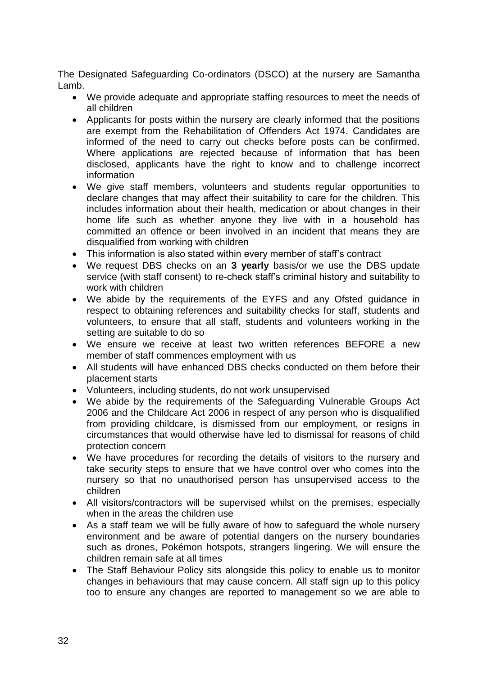The Designated Safeguarding Co-ordinators (DSCO) at the nursery are Samantha Lamb.

- We provide adequate and appropriate staffing resources to meet the needs of all children
- Applicants for posts within the nursery are clearly informed that the positions are exempt from the Rehabilitation of Offenders Act 1974. Candidates are informed of the need to carry out checks before posts can be confirmed. Where applications are rejected because of information that has been disclosed, applicants have the right to know and to challenge incorrect information
- We give staff members, volunteers and students regular opportunities to declare changes that may affect their suitability to care for the children. This includes information about their health, medication or about changes in their home life such as whether anyone they live with in a household has committed an offence or been involved in an incident that means they are disqualified from working with children
- This information is also stated within every member of staff's contract
- We request DBS checks on an **3 yearly** basis/or we use the DBS update service (with staff consent) to re-check staff's criminal history and suitability to work with children
- We abide by the requirements of the EYFS and any Ofsted guidance in respect to obtaining references and suitability checks for staff, students and volunteers, to ensure that all staff, students and volunteers working in the setting are suitable to do so
- We ensure we receive at least two written references BEFORE a new member of staff commences employment with us
- All students will have enhanced DBS checks conducted on them before their placement starts
- Volunteers, including students, do not work unsupervised
- We abide by the requirements of the Safeguarding Vulnerable Groups Act 2006 and the Childcare Act 2006 in respect of any person who is disqualified from providing childcare, is dismissed from our employment, or resigns in circumstances that would otherwise have led to dismissal for reasons of child protection concern
- We have procedures for recording the details of visitors to the nursery and take security steps to ensure that we have control over who comes into the nursery so that no unauthorised person has unsupervised access to the children
- All visitors/contractors will be supervised whilst on the premises, especially when in the areas the children use
- As a staff team we will be fully aware of how to safeguard the whole nursery environment and be aware of potential dangers on the nursery boundaries such as drones, Pokémon hotspots, strangers lingering. We will ensure the children remain safe at all times
- The Staff Behaviour Policy sits alongside this policy to enable us to monitor changes in behaviours that may cause concern. All staff sign up to this policy too to ensure any changes are reported to management so we are able to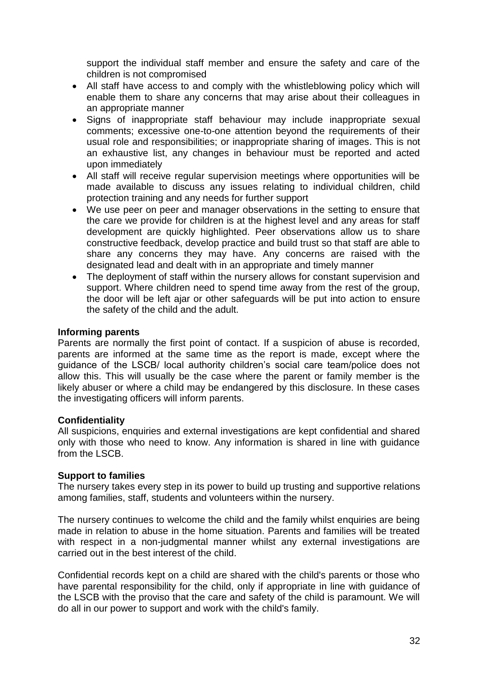support the individual staff member and ensure the safety and care of the children is not compromised

- All staff have access to and comply with the whistleblowing policy which will enable them to share any concerns that may arise about their colleagues in an appropriate manner
- Signs of inappropriate staff behaviour may include inappropriate sexual comments; excessive one-to-one attention beyond the requirements of their usual role and responsibilities; or inappropriate sharing of images. This is not an exhaustive list, any changes in behaviour must be reported and acted upon immediately
- All staff will receive regular supervision meetings where opportunities will be made available to discuss any issues relating to individual children, child protection training and any needs for further support
- We use peer on peer and manager observations in the setting to ensure that the care we provide for children is at the highest level and any areas for staff development are quickly highlighted. Peer observations allow us to share constructive feedback, develop practice and build trust so that staff are able to share any concerns they may have. Any concerns are raised with the designated lead and dealt with in an appropriate and timely manner
- The deployment of staff within the nursery allows for constant supervision and support. Where children need to spend time away from the rest of the group, the door will be left ajar or other safeguards will be put into action to ensure the safety of the child and the adult.

#### **Informing parents**

Parents are normally the first point of contact. If a suspicion of abuse is recorded, parents are informed at the same time as the report is made, except where the guidance of the LSCB/ local authority children's social care team/police does not allow this. This will usually be the case where the parent or family member is the likely abuser or where a child may be endangered by this disclosure. In these cases the investigating officers will inform parents.

## **Confidentiality**

All suspicions, enquiries and external investigations are kept confidential and shared only with those who need to know. Any information is shared in line with guidance from the LSCB.

#### **Support to families**

The nursery takes every step in its power to build up trusting and supportive relations among families, staff, students and volunteers within the nursery.

The nursery continues to welcome the child and the family whilst enquiries are being made in relation to abuse in the home situation. Parents and families will be treated with respect in a non-judgmental manner whilst any external investigations are carried out in the best interest of the child.

Confidential records kept on a child are shared with the child's parents or those who have parental responsibility for the child, only if appropriate in line with guidance of the LSCB with the proviso that the care and safety of the child is paramount. We will do all in our power to support and work with the child's family.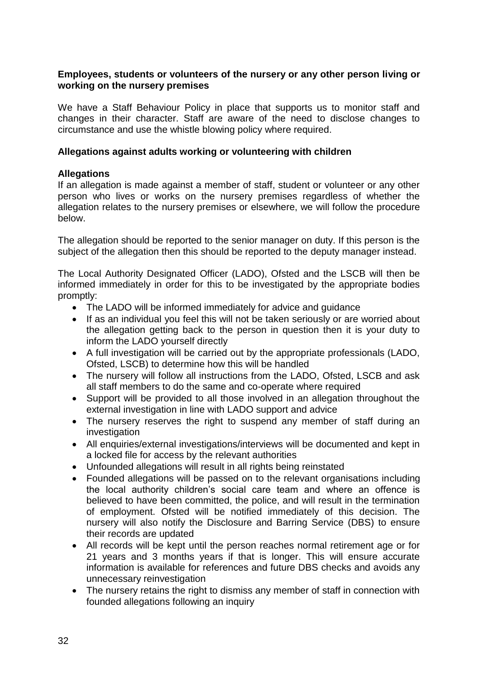## **Employees, students or volunteers of the nursery or any other person living or working on the nursery premises**

We have a Staff Behaviour Policy in place that supports us to monitor staff and changes in their character. Staff are aware of the need to disclose changes to circumstance and use the whistle blowing policy where required.

## **Allegations against adults working or volunteering with children**

## **Allegations**

If an allegation is made against a member of staff, student or volunteer or any other person who lives or works on the nursery premises regardless of whether the allegation relates to the nursery premises or elsewhere, we will follow the procedure below.

The allegation should be reported to the senior manager on duty. If this person is the subiect of the allegation then this should be reported to the deputy manager instead.

The Local Authority Designated Officer (LADO), Ofsted and the LSCB will then be informed immediately in order for this to be investigated by the appropriate bodies promptly:

- The LADO will be informed immediately for advice and quidance
- If as an individual you feel this will not be taken seriously or are worried about the allegation getting back to the person in question then it is your duty to inform the LADO yourself directly
- A full investigation will be carried out by the appropriate professionals (LADO, Ofsted, LSCB) to determine how this will be handled
- The nursery will follow all instructions from the LADO, Ofsted, LSCB and ask all staff members to do the same and co-operate where required
- Support will be provided to all those involved in an allegation throughout the external investigation in line with LADO support and advice
- The nursery reserves the right to suspend any member of staff during an investigation
- All enquiries/external investigations/interviews will be documented and kept in a locked file for access by the relevant authorities
- Unfounded allegations will result in all rights being reinstated
- Founded allegations will be passed on to the relevant organisations including the local authority children's social care team and where an offence is believed to have been committed, the police, and will result in the termination of employment. Ofsted will be notified immediately of this decision. The nursery will also notify the Disclosure and Barring Service (DBS) to ensure their records are updated
- All records will be kept until the person reaches normal retirement age or for 21 years and 3 months years if that is longer. This will ensure accurate information is available for references and future DBS checks and avoids any unnecessary reinvestigation
- The nursery retains the right to dismiss any member of staff in connection with founded allegations following an inquiry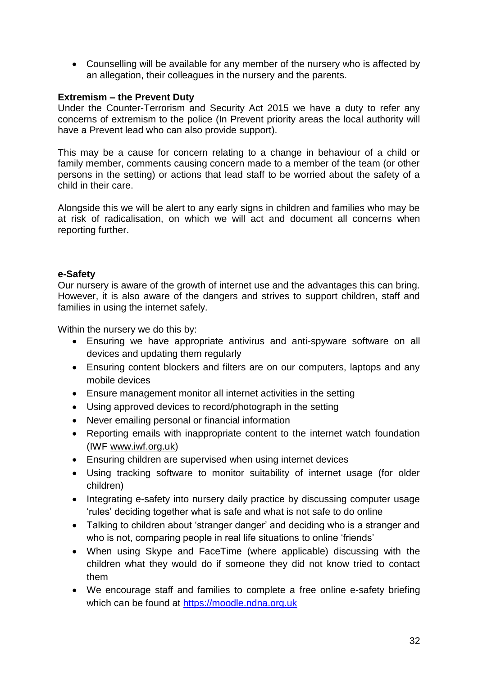Counselling will be available for any member of the nursery who is affected by an allegation, their colleagues in the nursery and the parents.

## **Extremism – the Prevent Duty**

Under the Counter-Terrorism and Security Act 2015 we have a duty to refer any concerns of extremism to the police (In Prevent priority areas the local authority will have a Prevent lead who can also provide support).

This may be a cause for concern relating to a change in behaviour of a child or family member, comments causing concern made to a member of the team (or other persons in the setting) or actions that lead staff to be worried about the safety of a child in their care.

Alongside this we will be alert to any early signs in children and families who may be at risk of radicalisation, on which we will act and document all concerns when reporting further.

#### **e-Safety**

Our nursery is aware of the growth of internet use and the advantages this can bring. However, it is also aware of the dangers and strives to support children, staff and families in using the internet safely.

Within the nursery we do this by:

- Ensuring we have appropriate antivirus and anti-spyware software on all devices and updating them regularly
- Ensuring content blockers and filters are on our computers, laptops and any mobile devices
- Ensure management monitor all internet activities in the setting
- Using approved devices to record/photograph in the setting
- Never emailing personal or financial information
- Reporting emails with inappropriate content to the internet watch foundation (IWF www.iwf.org.uk)
- Ensuring children are supervised when using internet devices
- Using tracking software to monitor suitability of internet usage (for older children)
- Integrating e-safety into nursery daily practice by discussing computer usage 'rules' deciding together what is safe and what is not safe to do online
- Talking to children about 'stranger danger' and deciding who is a stranger and who is not, comparing people in real life situations to online 'friends'
- When using Skype and FaceTime (where applicable) discussing with the children what they would do if someone they did not know tried to contact them
- We encourage staff and families to complete a free online e-safety briefing which can be found at [https://moodle.ndna.org.uk](https://moodle.ndna.org.uk/course/index.php?categoryid=27)